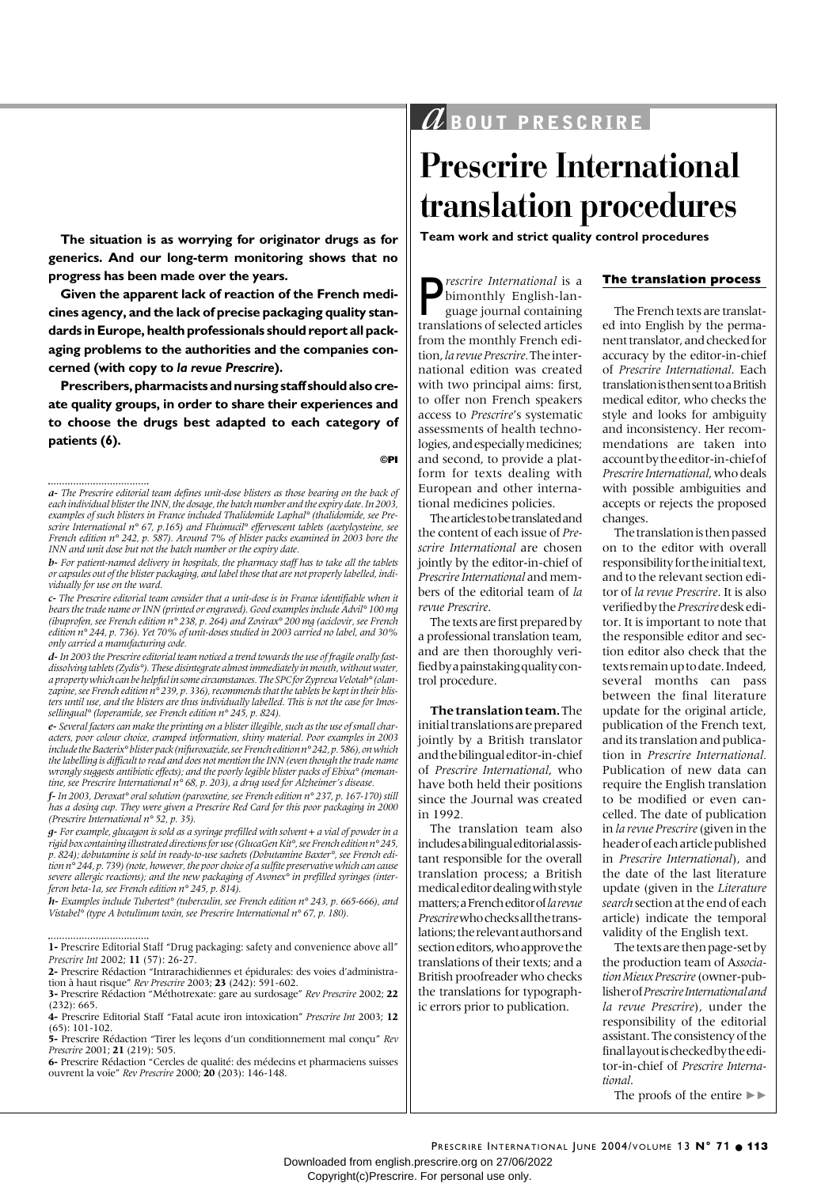# $a$  *BOUT PRESCRIRE*

# **Prescrire International translation procedures**

**Team work and strict quality control procedures**

**P** *rescrire International* is a<br>bimonthly English-language journal containing<br>translations of selected articles bimonthly English-language journal containing translations of selected articles from the monthly French edition, *la revue Prescrire.* The international edition was created with two principal aims: first, to offer non French speakers access to *Prescrire*'s systematic assessments of health technologies, and especially medicines; and second, to provide a platform for texts dealing with European and other international medicines policies.

The articles to be translated and the content of each issue of *Prescrire International* are chosen jointly by the editor-in-chief of *Prescrire International* and members of the editorial team of *la revue Prescrire*.

The texts are first prepared by a professional translation team, and are then thoroughly verified by a painstaking quality control procedure.

**The translation team.** The initial translations are prepared jointly by a British translator and the bilingual editor-in-chief of *Prescrire International*, who have both held their positions since the Journal was created in 1992*.* 

The translation team also includes a bilingual editorial assistant responsible for the overall translation process; a British medical editor dealing with style matters; a French editor of *la revue Prescrire* who checks all the translations; the relevant authors and section editors, who approve the translations of their texts; and a British proofreader who checks the translations for typographic errors prior to publication.

#### **The translation process**

The French texts are translated into English by the permanent translator, and checked for accuracy by the editor-in-chief of *Prescrire International*. Each translation is then sent to a British medical editor, who checks the style and looks for ambiguity and inconsistency. Her recommendations are taken into account by the editor-in-chief of *Prescrire International*, who deals with possible ambiguities and accepts or rejects the proposed changes.

The translation is then passed on to the editor with overall responsibility for the initial text, and to the relevant section editor of *la revue Prescrire*. It is also verified by the *Prescrire* desk editor. It is important to note that the responsible editor and section editor also check that the texts remain up to date. Indeed, several months can pass between the final literature update for the original article, publication of the French text, and its translation and publication in *Prescrire International.* Publication of new data can require the English translation to be modified or even cancelled. The date of publication in *la revue Prescrire* (given in the header of each article published in *Prescrire International*), and the date of the last literature update (given in the *Literature search* section at the end of each article) indicate the temporal validity of the English text.

The texts are then page-set by the production team of A*ssociation Mieux Prescrire* (owner-publisher of *Prescrire International and la revue Prescrire*), under the responsibility of the editorial assistant. The consistency of the final layout is checked by the editor-in-chief of *Prescrire International*.

The proofs of the entire  $\blacktriangleright$ 

**The situation is as worrying for originator drugs as for generics. And our long-term monitoring shows that no progress has been made over the years.** 

**Given the apparent lack of reaction of the French medicines agency, and the lack of precise packaging quality standards in Europe, health professionals should report all packaging problems to the authorities and the companies concerned (with copy to** *la revue Prescrire***).** 

**Prescribers, pharmacists and nursing staff should also create quality groups, in order to share their experiences and to choose the drugs best adapted to each category of patients (6).**

*b- For patient-named delivery in hospitals, the pharmacy staff has to take all the tablets or capsules out of the blister packaging, and label those that are not properly labelled, individually for use on the ward.* 

*c- The Prescrire editorial team consider that a unit-dose is in France identifiable when it bears the trade name or INN (printed or engraved). Good examples include Advil° 100 mg (ibuprofen, see French edition n° 238, p. 264) and Zovirax° 200 mg (aciclovir, see French edition n° 244, p. 736). Yet 70% of unit-doses studied in 2003 carried no label, and 30% only carried a manufacturing code.*

*d-In 2003 the Prescrire editorial team noticed a trend towards the use of fragile orally fastdissolving tablets (Zydis°). These disintegrate almost immediately in mouth, without water, a property which can be helpful in some circumstances. The SPC for Zyprexa Velotab°(olanzapine, see French edition n° 239, p. 336), recommends that the tablets be kept in their blisters until use, and the blisters are thus individually labelled. This is not the case for Imossellingual° (loperamide, see French edition n° 245, p. 824).*

*e- Several factors can make the printing on a blister illegible, such as the use of small characters, poor colour choice, cramped information, shiny material. Poor examples in 2003 include the Bacterix°blister pack (nifuroxazide, see French edition n°242, p. 586), on which the labelling is difficult to read and does not mention the INN (even though the trade name wrongly suggests antibiotic effects); and the poorly legible blister packs of Ebixa° (memantine, see Prescrire International n° 68, p. 203), a drug used for Alzheimer's disease.*

*f-In 2003, Deroxat° oral solution (paroxetine, see French edition n° 237, p. 167-170) still has a dosing cup. They were given a Prescrire Red Card for this poor packaging in 2000 (Prescrire International n° 52, p. 35).*

*g- For example, glucagon is sold as a syringe prefilled with solvent + a vial of powder in a rigid box containing illustrated directions for use (GlucaGen Kit°, see French edition n°245, p. 824); dobutamine is sold in ready-to-use sachets (Dobutamine Baxter°, see French edition n° 244, p. 739) (note, however, the poor choice of a sulfite preservative which can cause severe allergic reactions); and the new packaging of Avonex° in prefilled syringes (interferon beta-1a, see French edition n° 245, p. 814).*

*h- Examples include Tubertest° (tuberculin, see French edition n° 243, p. 665-666), and Vistabel° (type A botulinum toxin, see Prescrire International n° 67, p. 180).*

*Prescrire Int* 2002; **11** (57): 26-27. **2-** Prescrire Rédaction "Intrarachidiennes et épidurales: des voies d'administration à haut risque" *Rev Prescrire* 2003; **23** (242): 591-602.

**3-** Prescrire Rédaction "Méthotrexate: gare au surdosage" *Rev Prescrire* 2002; **22**  $(232) \cdot 665$ 

**4-** Prescrire Editorial Staff "Fatal acute iron intoxication" *Prescrire Int* 2003; **12** (65): 101-102.

**5-** Prescrire Rédaction "Tirer les leçons d'un conditionnement mal conçu" *Rev Prescrire* 2001; **21** (219): 505.

**6-** Prescrire Rédaction "Cercles de qualité: des médecins et pharmaciens suisses ouvrent la voie" *Rev Prescrire* 2000; **20** (203): 146-148.

Downloaded from english.prescrire.org on 27/06/2022 Copyright(c)Prescrire. For personal use only.

**<sup>©</sup>PI**

*a- The Prescrire editorial team defines unit-dose blisters as those bearing on the back of each individual blister the INN, the dosage, the batch number and the expiry date. In 2003, examples of such blisters in France included Thalidomide Laphal° (thalidomide, see Prescrire International n° 67, p.165) and Fluimucil° effervescent tablets (acetylcysteine, see French edition n° 242, p. 587). Around 7% of blister packs examined in 2003 bore the INN and unit dose but not the batch number or the expiry date.*

**<sup>1-</sup>** Prescrire Editorial Staff "Drug packaging: safety and convenience above all"